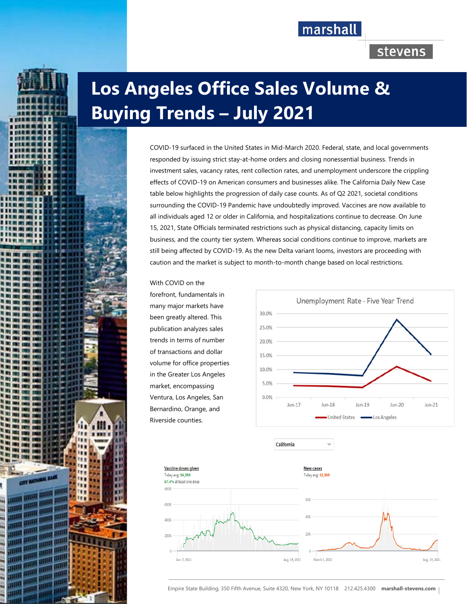

# stevens

# **Los Angeles Office Sales Volume & Buying Trends – July 2021**

COVID-19 surfaced in the United States in Mid-March 2020. Federal, state, and local governments responded by issuing strict stay-at-home orders and closing nonessential business. Trends in investment sales, vacancy rates, rent collection rates, and unemployment underscore the crippling effects of COVID-19 on American consumers and businesses alike. The California Daily New Case table below highlights the progression of daily case counts. As of Q2 2021, societal conditions surrounding the COVID-19 Pandemic have undoubtedly improved. Vaccines are now available to all individuals aged 12 or older in California, and hospitalizations continue to decrease. On June 15, 2021, State Officials terminated restrictions such as physical distancing, capacity limits on business, and the county tier system. Whereas social conditions continue to improve, markets are still being affected by COVID-19. As the new Delta variant looms, investors are proceeding with caution and the market is subject to month-to-month change based on local restrictions.

With COVID on the

forefront, fundamentals in many major markets have been greatly altered. This publication analyzes sales trends in terms of number of transactions and dollar volume for office properties in the Greater Los Angeles market, encompassing Ventura, Los Angeles, San Bernardino, Orange, and Riverside counties.





California

Empire State Building, 350 Fifth Avenue, Suite 4320, New York, NY 10118 212.425.4300 **marshall-stevens.com**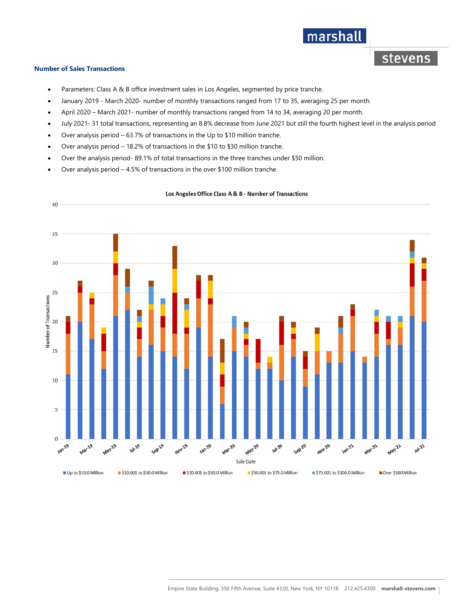### marshall

stevens

#### **Number of Sales Transactions**

- Parameters: Class A & B office investment sales in Los Angeles, segmented by price tranche.
- January 2019 March 2020- number of monthly transactions ranged from 17 to 35, averaging 25 per month.
- April 2020 March 2021- number of monthly transactions ranged from 14 to 34, averaging 20 per month.
- July 2021- 31 total transactions, representing an 8.8% decrease from June 2021 but still the fourth highest level in the analysis period
- Over analysis period 63.7% of transactions in the Up to \$10 million tranche.
- Over analysis period 18.2% of transactions in the \$10 to \$30 million tranche.
- Over the analysis period- 89.1% of total transactions in the three tranches under \$50 million.
- Over analysis period 4.5% of transactions in the over \$100 million tranche.



#### Los Angeles Office Class A & B - Number of Transactions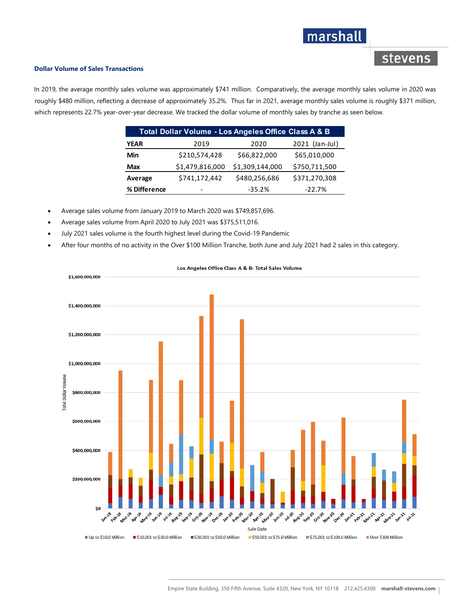## marshall

### stevens

#### **Dollar Volume of Sales Transactions**

In 2019, the average monthly sales volume was approximately \$741 million. Comparatively, the average monthly sales volume in 2020 was roughly \$480 million, reflecting a decrease of approximately 35.2%. Thus far in 2021, average monthly sales volume is roughly \$371 million, which represents 22.7% year-over-year decrease. We tracked the dollar volume of monthly sales by tranche as seen below.

| Total Dollar Volume - Los Angeles Office Class A & B |                 |                 |                |
|------------------------------------------------------|-----------------|-----------------|----------------|
| <b>YEAR</b>                                          | 2019            | 2020            | 2021 (Jan-Jul) |
| Min                                                  | \$210,574,428   | \$66,822,000    | \$65,010,000   |
| Max                                                  | \$1,479,816,000 | \$1,309,144,000 | \$750,711,500  |
| Average                                              | \$741,172,442   | \$480,256,686   | \$371,270,308  |
| % Difference                                         |                 | $-35.2%$        | $-22.7%$       |

Average sales volume from January 2019 to March 2020 was \$749,857,696.

- Average sales volume from April 2020 to July 2021 was \$375,511,016.
- July 2021 sales volume is the fourth highest level during the Covid-19 Pandemic
- After four months of no activity in the Over \$100 Million Tranche, both June and July 2021 had 2 sales in this category.



#### Los Angeles Office Class A & B- Total Sales Volume